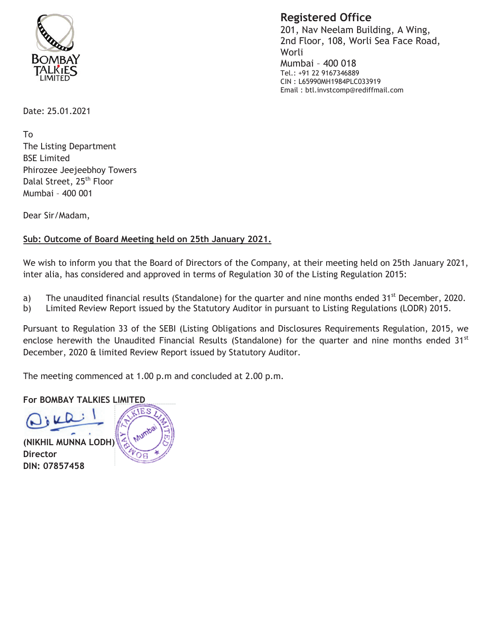

**Registered Office** 

201, Nav Neelam Building, A Wing, 2nd Floor, 108, Worli Sea Face Road, Worli Mumbai - 400 018 Tel.: +91 22 9167346889 CIN: L65990MH1984PLC033919 Email: btl.invstcomp@rediffmail.com

Date: 25.01.2021

**Τ**ο The Listing Department **BSE Limited** Phirozee Jeejeebhoy Towers Dalal Street, 25<sup>th</sup> Floor Mumbai - 400 001

Dear Sir/Madam,

## Sub: Outcome of Board Meeting held on 25th January 2021.

We wish to inform you that the Board of Directors of the Company, at their meeting held on 25th January 2021, inter alia, has considered and approved in terms of Regulation 30 of the Listing Regulation 2015:

- The unaudited financial results (Standalone) for the quarter and nine months ended 31<sup>st</sup> December, 2020. a)
- Limited Review Report issued by the Statutory Auditor in pursuant to Listing Regulations (LODR) 2015. b)

Pursuant to Regulation 33 of the SEBI (Listing Obligations and Disclosures Requirements Regulation, 2015, we enclose herewith the Unaudited Financial Results (Standalone) for the quarter and nine months ended 31<sup>st</sup> December, 2020 & limited Review Report issued by Statutory Auditor.

The meeting commenced at 1.00 p.m and concluded at 2.00 p.m.

## **For BOMBAY TALKIES LIMITED**

(NIKHIL MUNNA LODH) **Director** DIN: 07857458

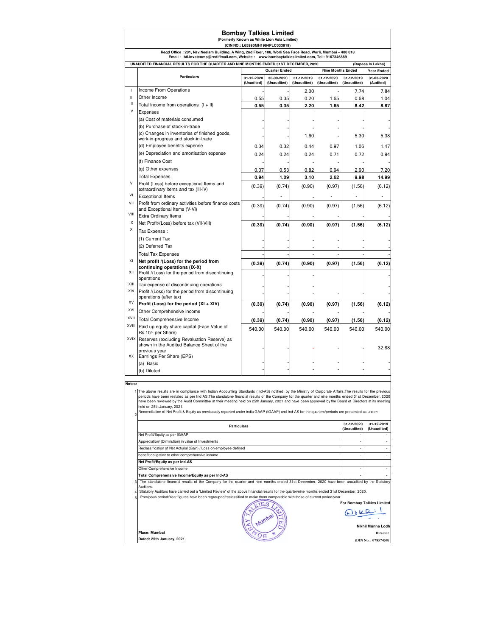| <b>Bombay Talkies Limited</b><br>(Formerly Known as White Lion Asia Limited)<br>(CIN NO.: L65990MH1984PLC033919)                                                                                          |                                                                                                                                                                                                                                                                                                                 |                          |                           |                           |                           |                           |                          |
|-----------------------------------------------------------------------------------------------------------------------------------------------------------------------------------------------------------|-----------------------------------------------------------------------------------------------------------------------------------------------------------------------------------------------------------------------------------------------------------------------------------------------------------------|--------------------------|---------------------------|---------------------------|---------------------------|---------------------------|--------------------------|
| Regd Office : 201, Nav Neelam Building, A Wing, 2nd Floor, 108, Worli Sea Face Road, Worli, Mumbai - 400 018                                                                                              |                                                                                                                                                                                                                                                                                                                 |                          |                           |                           |                           |                           |                          |
| Email: btl.invstcomp@rediffmail.com, Website: www.bombaytalkieslimited.com, Tel: 9167346889<br>UNAUDITED FINANCIAL RESULTS FOR THE QUARTER AND NINE MONTHS ENDED 31ST DECEMBER, 2020<br>(Rupees In Lakhs) |                                                                                                                                                                                                                                                                                                                 |                          |                           |                           |                           |                           |                          |
|                                                                                                                                                                                                           |                                                                                                                                                                                                                                                                                                                 | <b>Quarter Ended</b>     |                           |                           |                           | <b>Nine Months Ended</b>  |                          |
|                                                                                                                                                                                                           | <b>Particulars</b>                                                                                                                                                                                                                                                                                              | 31-12-2020<br>(Unadited) | 30-09-2020<br>(Unaudited) | 31-12-2019<br>(Unaudited) | 31-12-2020<br>(Unaudited) | 31-12-2019<br>(Unaudited) | 31-03-2020<br>(Audited)  |
| I.                                                                                                                                                                                                        | Income From Operations                                                                                                                                                                                                                                                                                          |                          |                           | 2.00                      |                           | 7.74                      | 7.84                     |
| Ш                                                                                                                                                                                                         | Other Income                                                                                                                                                                                                                                                                                                    | 0.55                     | 0.35                      | 0.20                      | 1.65                      | 0.68                      | 1.04                     |
| Ш<br>IV                                                                                                                                                                                                   | Total Income from operations $(I + II)$                                                                                                                                                                                                                                                                         | 0.55                     | 0.35                      | 2.20                      | 1.65                      | 8.42                      | 8.87                     |
|                                                                                                                                                                                                           | Expenses<br>(a) Cost of materials consumed                                                                                                                                                                                                                                                                      |                          |                           |                           |                           |                           |                          |
|                                                                                                                                                                                                           | (b) Purchase of stock-in-trade                                                                                                                                                                                                                                                                                  |                          |                           |                           |                           |                           |                          |
|                                                                                                                                                                                                           | (c) Changes in inventories of finished goods,                                                                                                                                                                                                                                                                   |                          |                           | 1.60                      |                           | 5.30                      | 5.38                     |
|                                                                                                                                                                                                           | work-in-progress and stock-in-trade<br>(d) Employee benefits expense                                                                                                                                                                                                                                            | 0.34                     | 0.32                      | 0.44                      | 0.97                      | 1.06                      | 1.47                     |
|                                                                                                                                                                                                           | (e) Depreciation and amortisation expense                                                                                                                                                                                                                                                                       | 0.24                     | 0.24                      | 0.24                      | 0.71                      | 0.72                      | 0.94                     |
|                                                                                                                                                                                                           | (f) Finance Cost                                                                                                                                                                                                                                                                                                |                          |                           |                           |                           |                           |                          |
|                                                                                                                                                                                                           | (g) Other expenses                                                                                                                                                                                                                                                                                              | 0.37                     | 0.53                      | 0.82                      | 0.94                      | 2.90                      | 7.20                     |
|                                                                                                                                                                                                           | <b>Total Expenses</b>                                                                                                                                                                                                                                                                                           | 0.94                     | 1.09                      | 3.10                      | 2.62                      | 9.98                      | 14.99                    |
| V                                                                                                                                                                                                         | Profit (Loss) before exceptional Items and<br>extraordinary items and tax (III-IV)                                                                                                                                                                                                                              | (0.39)                   | (0.74)                    | (0.90)                    | (0.97)                    | (1.56)                    | (6.12)                   |
| VI                                                                                                                                                                                                        | <b>Exceptional Items</b>                                                                                                                                                                                                                                                                                        |                          |                           |                           |                           |                           |                          |
| VII                                                                                                                                                                                                       | Profit from ordinary activities before finance costs                                                                                                                                                                                                                                                            | (0.39)                   | (0.74)                    | (0.90)                    | (0.97)                    | (1.56)                    | (6.12)                   |
| VIII                                                                                                                                                                                                      | and Exceptional Items (V-VI)<br><b>Extra Ordinary Items</b>                                                                                                                                                                                                                                                     |                          |                           |                           |                           |                           |                          |
| IX                                                                                                                                                                                                        | Net Profit/(Loss) before tax (VII-VIII)                                                                                                                                                                                                                                                                         | (0.39)                   | (0.74)                    | (0.90)                    | (0.97)                    | (1.56)                    | (6.12)                   |
| X                                                                                                                                                                                                         | Tax Expense :                                                                                                                                                                                                                                                                                                   |                          |                           |                           |                           |                           |                          |
|                                                                                                                                                                                                           | (1) Current Tax                                                                                                                                                                                                                                                                                                 |                          |                           |                           |                           |                           |                          |
|                                                                                                                                                                                                           | (2) Deferred Tax                                                                                                                                                                                                                                                                                                |                          |                           |                           |                           |                           |                          |
|                                                                                                                                                                                                           | <b>Total Tax Expenses</b>                                                                                                                                                                                                                                                                                       |                          |                           |                           |                           |                           |                          |
| XI                                                                                                                                                                                                        | Net profit /(Loss) for the period from<br>continuing operations (IX-X)                                                                                                                                                                                                                                          | (0.39)                   | (0.74)                    | (0.90)                    | (0.97)                    | (1.56)                    | (6.12)                   |
| XII                                                                                                                                                                                                       | Profit /(Loss) for the period from discontinuing                                                                                                                                                                                                                                                                |                          |                           |                           |                           |                           |                          |
| XIII                                                                                                                                                                                                      | operations                                                                                                                                                                                                                                                                                                      |                          |                           |                           |                           |                           |                          |
| XIV                                                                                                                                                                                                       | Tax expense of discontinuing operations<br>Profit /(Loss) for the period from discontinuing                                                                                                                                                                                                                     |                          |                           |                           |                           |                           |                          |
|                                                                                                                                                                                                           | operations (after tax)                                                                                                                                                                                                                                                                                          |                          |                           |                           |                           |                           |                          |
| XV<br>XVI                                                                                                                                                                                                 | Profit (Loss) for the period (XI + XIV)                                                                                                                                                                                                                                                                         | (0.39)                   | (0.74)                    | (0.90)                    | (0.97)                    | (1.56)                    | (6.12)                   |
| XVII                                                                                                                                                                                                      | Other Comprehensive Income<br>Total Comprehensive Income                                                                                                                                                                                                                                                        |                          |                           |                           |                           |                           |                          |
| XVIII                                                                                                                                                                                                     | Paid up equity share capital (Face Value of                                                                                                                                                                                                                                                                     | (0.39)                   | (0.74)                    | (0.90)                    | (0.97)                    | (1.56)                    | (6.12)                   |
|                                                                                                                                                                                                           | Rs.10/- per Share)                                                                                                                                                                                                                                                                                              | 540.00                   | 540.00                    | 540.00                    | 540.00                    | 540.00                    | 540.00                   |
|                                                                                                                                                                                                           | XVIX Reserves (excluding Revaluation Reserve) as<br>shown in the Audited Balance Sheet of the                                                                                                                                                                                                                   |                          |                           |                           |                           |                           |                          |
|                                                                                                                                                                                                           | previous year                                                                                                                                                                                                                                                                                                   |                          |                           |                           |                           |                           | 32.88                    |
| XX                                                                                                                                                                                                        | Earnings Per Share (EPS)                                                                                                                                                                                                                                                                                        |                          |                           |                           |                           |                           |                          |
|                                                                                                                                                                                                           | (a) Basic<br>(b) Diluted                                                                                                                                                                                                                                                                                        |                          |                           |                           |                           |                           |                          |
|                                                                                                                                                                                                           |                                                                                                                                                                                                                                                                                                                 |                          |                           |                           |                           |                           |                          |
| Notes:                                                                                                                                                                                                    |                                                                                                                                                                                                                                                                                                                 |                          |                           |                           |                           |                           |                          |
|                                                                                                                                                                                                           | The above results are in compliance with Indian Accounting Standards (Ind-AS) notified by the Ministry of Corporate Affairs. The results for the previous<br>periods have been restated as per Ind AS.The standalone financial results of the Company for the quarter and nine months ended 31st December, 2020 |                          |                           |                           |                           |                           |                          |
|                                                                                                                                                                                                           | have been reviewed by the Audit Committee at their meeting held on 25th January, 2021 and have been approved by the Board of Directors at its meeting                                                                                                                                                           |                          |                           |                           |                           |                           |                          |
| $\overline{c}$                                                                                                                                                                                            | held on 25th January, 2021.<br>Reconciliation of Net Profit & Equity as previsously reported under india GAAP (IGAAP) and Ind-AS for the quarters/periods are presented as under:                                                                                                                               |                          |                           |                           |                           |                           |                          |
|                                                                                                                                                                                                           | 31-12-2020<br>31-12-2019                                                                                                                                                                                                                                                                                        |                          |                           |                           |                           |                           |                          |
|                                                                                                                                                                                                           | <b>Particulars</b>                                                                                                                                                                                                                                                                                              |                          |                           |                           |                           | (Unaudited)               | (Unaudited)              |
|                                                                                                                                                                                                           | Net Profit/Equity as per IGAAP<br>Appreciation/ (Diminution) in value of Investments<br>Reclassification of Net Acturial (Gain) / Loss on employee defined<br>benefit obligation to other comprehensive income<br>Net Profit/Equity as per Ind-AS                                                               |                          |                           |                           |                           | ä,                        |                          |
|                                                                                                                                                                                                           |                                                                                                                                                                                                                                                                                                                 |                          |                           |                           |                           |                           | ۰                        |
|                                                                                                                                                                                                           |                                                                                                                                                                                                                                                                                                                 |                          |                           |                           |                           |                           |                          |
|                                                                                                                                                                                                           |                                                                                                                                                                                                                                                                                                                 |                          |                           |                           |                           |                           | ÷,                       |
|                                                                                                                                                                                                           | Other Comprehensive Income<br>Total Comprehensive Income/Equity as per Ind-AS                                                                                                                                                                                                                                   |                          |                           |                           |                           |                           | $\overline{\phantom{a}}$ |
| 3                                                                                                                                                                                                         | The standalone financial results of the Company for the quarter and nine months ended 31st December, 2020 have been unaudited by the Statutory                                                                                                                                                                  |                          |                           |                           |                           |                           |                          |
|                                                                                                                                                                                                           | Auditors.<br>Statutory Auditors have carried out a "Limited Review" of the above financial results for the quarter/nine months ended 31st December, 2020.                                                                                                                                                       |                          |                           |                           |                           |                           |                          |
| 5                                                                                                                                                                                                         | Previpous period/Year figures have been regrouped/reclassified to make them comparable with those of current period/year.                                                                                                                                                                                       |                          |                           |                           |                           |                           |                          |
|                                                                                                                                                                                                           | <b>For Bombay Talkies Limited</b><br><b>IES</b>                                                                                                                                                                                                                                                                 |                          |                           |                           |                           |                           |                          |
|                                                                                                                                                                                                           |                                                                                                                                                                                                                                                                                                                 |                          |                           |                           |                           |                           |                          |
|                                                                                                                                                                                                           | Nikhil Munna Lodh                                                                                                                                                                                                                                                                                               |                          |                           |                           |                           |                           |                          |
|                                                                                                                                                                                                           | Place: Mumbai                                                                                                                                                                                                                                                                                                   |                          |                           |                           |                           |                           | <b>Director</b>          |
|                                                                                                                                                                                                           | Dated: 25th January, 2021                                                                                                                                                                                                                                                                                       |                          |                           |                           |                           |                           | $(DIN N_0 + 07857458)$   |

**Dated: 25th January, 2021**

**(DIN No.: 07857458)**